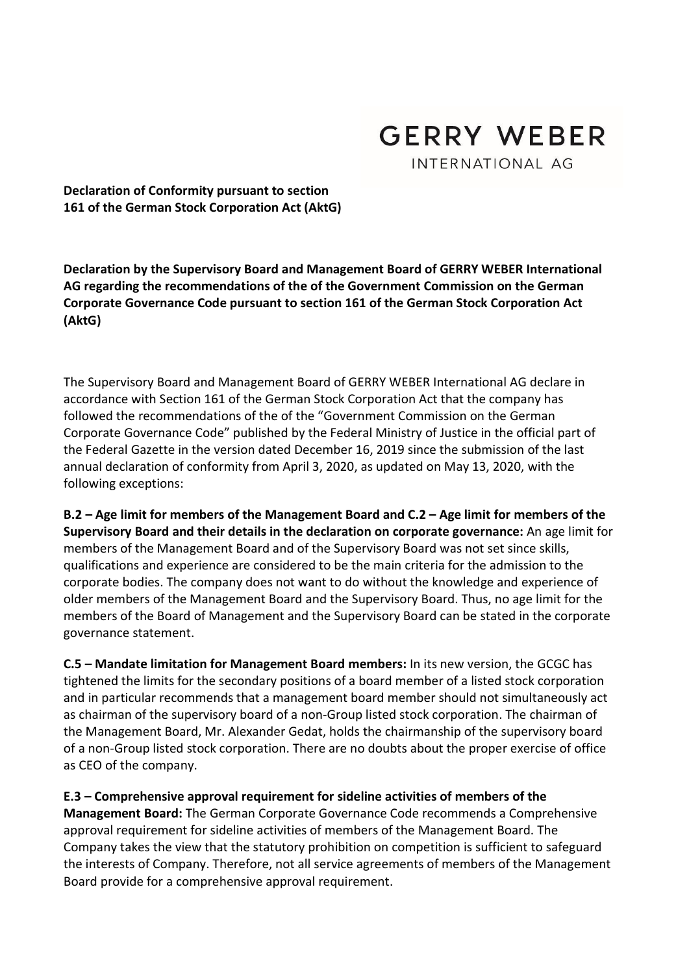

Declaration of Conformity pursuant to section 161 of the German Stock Corporation Act (AktG)

Declaration by the Supervisory Board and Management Board of GERRY WEBER International AG regarding the recommendations of the of the Government Commission on the German Corporate Governance Code pursuant to section 161 of the German Stock Corporation Act (AktG)

The Supervisory Board and Management Board of GERRY WEBER International AG declare in accordance with Section 161 of the German Stock Corporation Act that the company has followed the recommendations of the of the "Government Commission on the German Corporate Governance Code" published by the Federal Ministry of Justice in the official part of the Federal Gazette in the version dated December 16, 2019 since the submission of the last annual declaration of conformity from April 3, 2020, as updated on May 13, 2020, with the following exceptions:

B.2 – Age limit for members of the Management Board and C.2 – Age limit for members of the Supervisory Board and their details in the declaration on corporate governance: An age limit for members of the Management Board and of the Supervisory Board was not set since skills, qualifications and experience are considered to be the main criteria for the admission to the corporate bodies. The company does not want to do without the knowledge and experience of older members of the Management Board and the Supervisory Board. Thus, no age limit for the members of the Board of Management and the Supervisory Board can be stated in the corporate governance statement.

C.5 – Mandate limitation for Management Board members: In its new version, the GCGC has tightened the limits for the secondary positions of a board member of a listed stock corporation and in particular recommends that a management board member should not simultaneously act as chairman of the supervisory board of a non-Group listed stock corporation. The chairman of the Management Board, Mr. Alexander Gedat, holds the chairmanship of the supervisory board of a non-Group listed stock corporation. There are no doubts about the proper exercise of office as CEO of the company.

E.3 – Comprehensive approval requirement for sideline activities of members of the Management Board: The German Corporate Governance Code recommends a Comprehensive approval requirement for sideline activities of members of the Management Board. The Company takes the view that the statutory prohibition on competition is sufficient to safeguard the interests of Company. Therefore, not all service agreements of members of the Management Board provide for a comprehensive approval requirement.